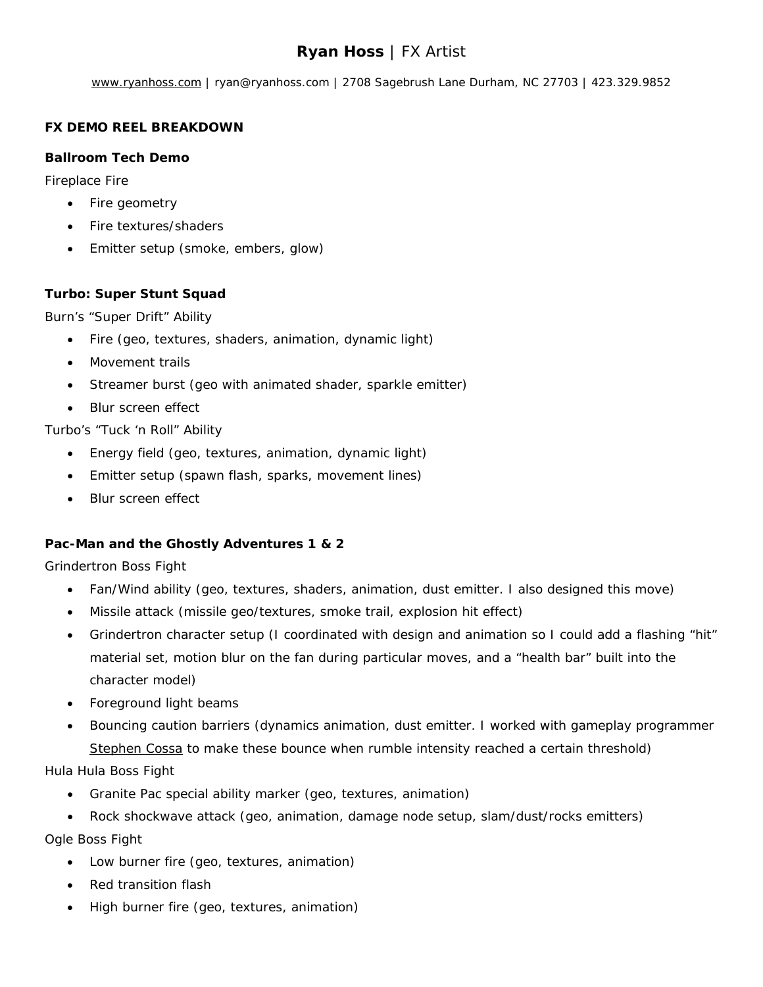# **Ryan Hoss** | FX Artist

[www.ryanhoss.com](http://www.ryanhoss.com/) | ryan@ryanhoss.com | 2708 Sagebrush Lane Durham, NC 27703 | 423.329.9852

## **FX DEMO REEL BREAKDOWN**

#### **Ballroom Tech Demo**

Fireplace Fire

- Fire geometry
- Fire textures/shaders
- Emitter setup (smoke, embers, glow)

## **Turbo: Super Stunt Squad**

Burn's "Super Drift" Ability

- Fire (geo, textures, shaders, animation, dynamic light)
- Movement trails
- Streamer burst (geo with animated shader, sparkle emitter)
- Blur screen effect

Turbo's "Tuck 'n Roll" Ability

- Energy field (geo, textures, animation, dynamic light)
- Emitter setup (spawn flash, sparks, movement lines)
- Blur screen effect

## **Pac-Man and the Ghostly Adventures 1 & 2**

Grindertron Boss Fight

- Fan/Wind ability (geo, textures, shaders, animation, dust emitter. I also designed this move)
- Missile attack (missile geo/textures, smoke trail, explosion hit effect)
- Grindertron character setup (I coordinated with design and animation so I could add a flashing "hit" material set, motion blur on the fan during particular moves, and a "health bar" built into the character model)
- Foreground light beams
- Bouncing caution barriers (dynamics animation, dust emitter. I worked with gameplay programmer [Stephen Cossa](https://www.linkedin.com/pub/stephen-cossa/78/849/159) to make these bounce when rumble intensity reached a certain threshold)

Hula Hula Boss Fight

- Granite Pac special ability marker (geo, textures, animation)
- Rock shockwave attack (geo, animation, damage node setup, slam/dust/rocks emitters)

Ogle Boss Fight

- Low burner fire (geo, textures, animation)
- Red transition flash
- High burner fire (geo, textures, animation)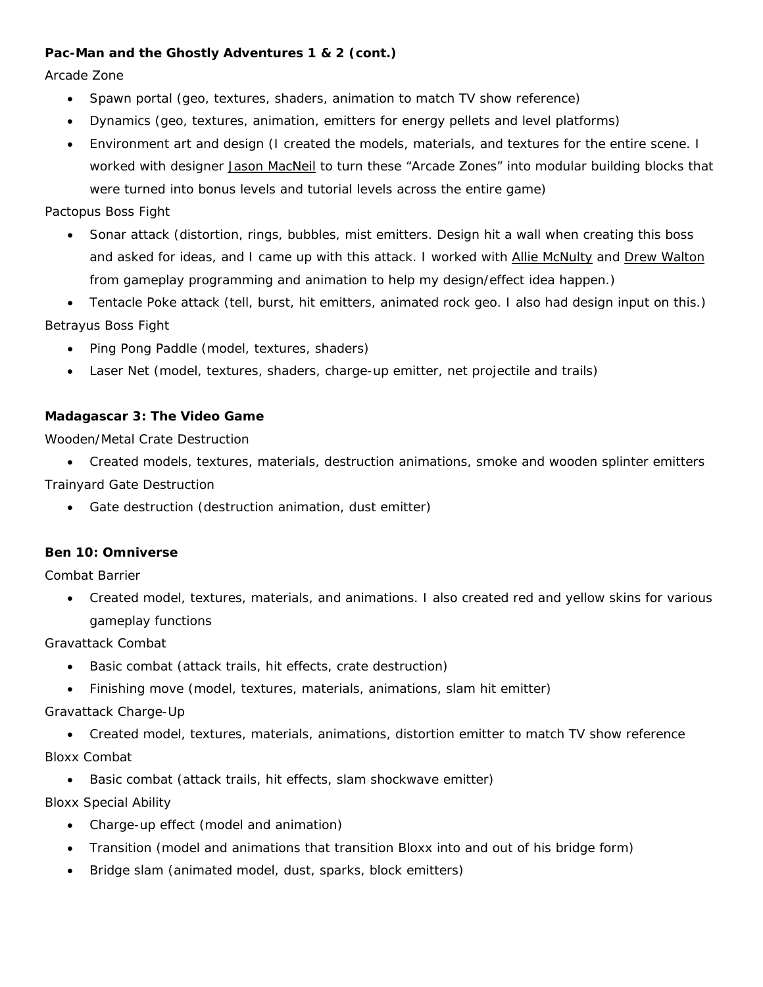### **Pac-Man and the Ghostly Adventures 1 & 2 (cont.)**

Arcade Zone

- Spawn portal (geo, textures, shaders, animation to match TV show reference)
- Dynamics (geo, textures, animation, emitters for energy pellets and level platforms)
- Environment art and design (I created the models, materials, and textures for the entire scene. I worked with designer [Jason MacNeil](http://mackizar.blogspot.com/) to turn these "Arcade Zones" into modular building blocks that were turned into bonus levels and tutorial levels across the entire game)

Pactopus Boss Fight

- Sonar attack (distortion, rings, bubbles, mist emitters. Design hit a wall when creating this boss and asked for ideas, and I came up with this attack. I worked with [Allie McNulty](https://www.linkedin.com/pub/allie-mcnulty/6/567/279) and [Drew Walton](http://www.andrewdeedswalton.com/) from gameplay programming and animation to help my design/effect idea happen.)
- Tentacle Poke attack (tell, burst, hit emitters, animated rock geo. I also had design input on this.)

Betrayus Boss Fight

- Ping Pong Paddle (model, textures, shaders)
- Laser Net (model, textures, shaders, charge-up emitter, net projectile and trails)

#### **Madagascar 3: The Video Game**

Wooden/Metal Crate Destruction

• Created models, textures, materials, destruction animations, smoke and wooden splinter emitters

Trainyard Gate Destruction

• Gate destruction (destruction animation, dust emitter)

#### **Ben 10: Omniverse**

Combat Barrier

• Created model, textures, materials, and animations. I also created red and yellow skins for various gameplay functions

Gravattack Combat

- Basic combat (attack trails, hit effects, crate destruction)
- Finishing move (model, textures, materials, animations, slam hit emitter)

Gravattack Charge-Up

• Created model, textures, materials, animations, distortion emitter to match TV show reference Bloxx Combat

Basic combat (attack trails, hit effects, slam shockwave emitter)

Bloxx Special Ability

- Charge-up effect (model and animation)
- Transition (model and animations that transition Bloxx into and out of his bridge form)
- Bridge slam (animated model, dust, sparks, block emitters)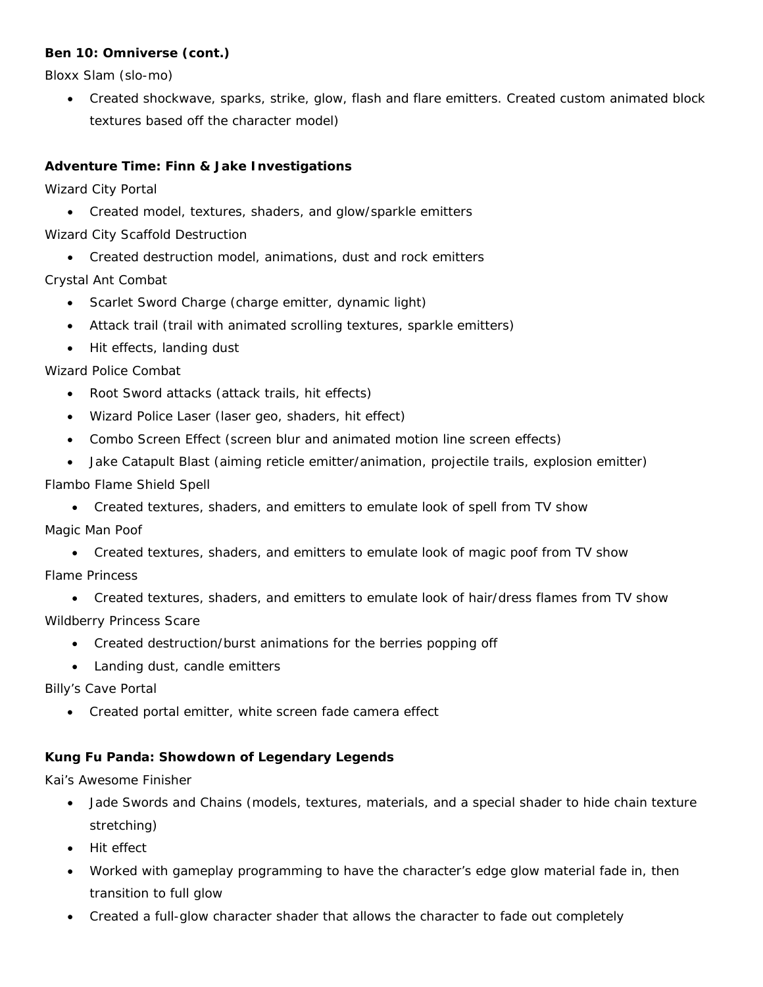## **Ben 10: Omniverse (cont.)**

Bloxx Slam (slo-mo)

• Created shockwave, sparks, strike, glow, flash and flare emitters. Created custom animated block textures based off the character model)

## **Adventure Time: Finn & Jake Investigations**

Wizard City Portal

• Created model, textures, shaders, and glow/sparkle emitters

Wizard City Scaffold Destruction

• Created destruction model, animations, dust and rock emitters

Crystal Ant Combat

- Scarlet Sword Charge (charge emitter, dynamic light)
- Attack trail (trail with animated scrolling textures, sparkle emitters)
- Hit effects, landing dust

#### Wizard Police Combat

- Root Sword attacks (attack trails, hit effects)
- Wizard Police Laser (laser geo, shaders, hit effect)
- Combo Screen Effect (screen blur and animated motion line screen effects)
- Jake Catapult Blast (aiming reticle emitter/animation, projectile trails, explosion emitter)

#### Flambo Flame Shield Spell

• Created textures, shaders, and emitters to emulate look of spell from TV show

Magic Man Poof

• Created textures, shaders, and emitters to emulate look of magic poof from TV show

Flame Princess

- Created textures, shaders, and emitters to emulate look of hair/dress flames from TV show Wildberry Princess Scare
	- Created destruction/burst animations for the berries popping off
	- Landing dust, candle emitters

Billy's Cave Portal

• Created portal emitter, white screen fade camera effect

## **Kung Fu Panda: Showdown of Legendary Legends**

Kai's Awesome Finisher

- Jade Swords and Chains (models, textures, materials, and a special shader to hide chain texture stretching)
- Hit effect
- Worked with gameplay programming to have the character's edge glow material fade in, then transition to full glow
- Created a full-glow character shader that allows the character to fade out completely